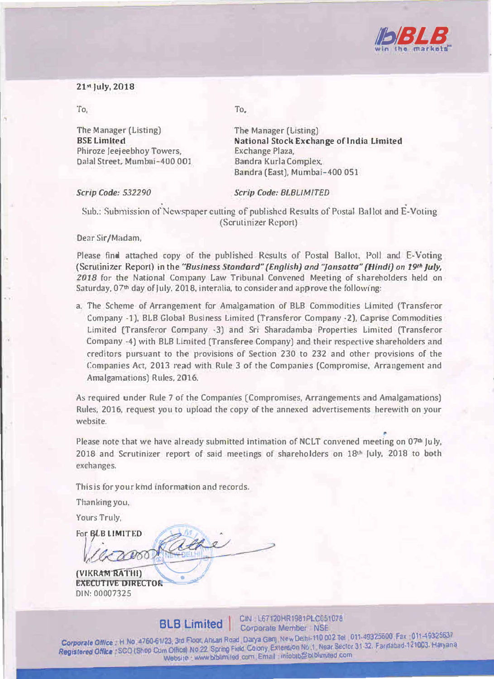

## **21" July, 2018**

**The Manager (Listing) BSE Limited Phiroze /eejeebhoy Towers, Dalal Street, Mumhai-400 001** 

**To, To,** 

**The Manager (Listing) National Stock Exchange oflndia Limited Exchange Plaza, Bandra Kurla Complex, Sandra (East), Mumbai-400 051** 

*Scrip Code: 532290 Scrip Code: BLBl/MfTED* 

Sub.: Submission of Newspaper cutting of published Results of Postal Ballot and E-Voting **(Scrutinizer Report)** 

## **Dear Sir/Madam,**

Please find attached copy of the published Results of Postal Ballot, Poll and E-Voting **(Scrutinizer Report) in the** *"Business Standard" {English) and "jansatta" {Hindi} on 19,h July, 2018* **for the National Company Law Tribunal Convened Meeting of shareholders held on**  Saturday, 07<sup>th</sup> day of July, 2018, interalia, to consider and approve the following:

**a. The Scheme of Arrangement for Amalgamation of BLB Commodities Limited (Transferor Company -1), BLB Global Business Limited (Transferor Company ·2), Caprise Commodities Limited (Transferor Company -3) and Sri Sharadamba Properties Limited (Transferor Company ·4) with BLB Limited [Transferee Company) and their respective shareholders and creditors pursuant to the provisions of Section 230 to 232 and other provisions of the Companies Act, 2013 read with Rule 3 of the Companies (Compromise, Arrangement and Amalgamations) Rules, 2016.**

**As required under Rule 7 of the Companies (Compromises, Arrangements and Amalgamations) Rules, 2016, request you to upload the copy of the annexed advertisements herewith on your website.** 

Please note that we have already submitted intimation of NCLT convened meeting on 07<sup>th</sup> July, 2018 and Scrutinizer report of said meetings of shareholders on 18<sup>th</sup> *July*, 2018 to both **exchanges.** 

**This is** *for* **your kmd 111formation and records.** 

**Thanking you,** 

**Yours Truly,** 

For **BLB LIMITED** 

*t,* . • ' **EXECUTIVE DIRECTOR DIN: 00007325** 

**8LB Limited CIN L67120HR1981PLC051078 BLB Limited B** Corporate Member NSE

**Corporate Office**  H No 4760-61123, 3rd Floor, Ansari Road Darya Garri New Delhi-110 002 Tel 011-49325600 Fax 011-49325637<br>Corporate Office H No 4760-61123, 3rd Floor, Ansari Road Darya Garri New Delhi-1, Nork Sector 31. **Corporate Office** Firms around its, So Final Reserved Burge Extension No. 1. Near Sector 31-32. Far dabad-121003. Haryana<br>Registered Office SCO (Shop Cum Office) No.22. Spring Field Colony. Extension No. 1. Near Sector 31 Website www biblimited com Email infobib@biblimted com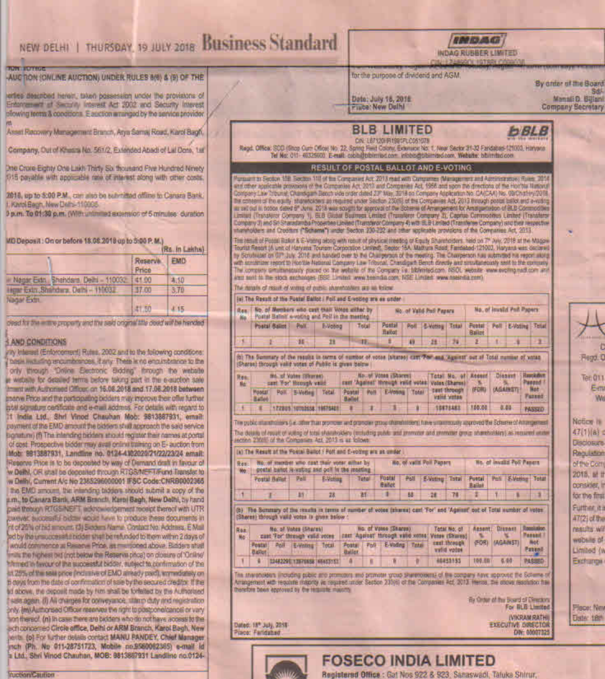|                                                                                                                                                                                                                                                                                                                                                                                                                                            |                                             |               | NEW DELHI   THURSDAY, 19 JULY 2018 BUSINESS Standard<br>18 13 50<br>INDAG RUBBER LIMITED                                                                                                                                                                                                    |                                                                                                                                                                                                                                                                                                                                                                                                                                                                                                                                                                                                                                                                           |                                         |  |
|--------------------------------------------------------------------------------------------------------------------------------------------------------------------------------------------------------------------------------------------------------------------------------------------------------------------------------------------------------------------------------------------------------------------------------------------|---------------------------------------------|---------------|---------------------------------------------------------------------------------------------------------------------------------------------------------------------------------------------------------------------------------------------------------------------------------------------|---------------------------------------------------------------------------------------------------------------------------------------------------------------------------------------------------------------------------------------------------------------------------------------------------------------------------------------------------------------------------------------------------------------------------------------------------------------------------------------------------------------------------------------------------------------------------------------------------------------------------------------------------------------------------|-----------------------------------------|--|
| TUN FOTTOG                                                                                                                                                                                                                                                                                                                                                                                                                                 |                                             |               |                                                                                                                                                                                                                                                                                             | GOL 1978R10<br><b>PERMIT REAL PROPERTY AND INCOME.</b>                                                                                                                                                                                                                                                                                                                                                                                                                                                                                                                                                                                                                    |                                         |  |
| AUCTION (ONLINE AUCTION) UNDER RULES 8(6) & (9) OF THE                                                                                                                                                                                                                                                                                                                                                                                     |                                             |               |                                                                                                                                                                                                                                                                                             | for the purpose of dividend and AGM.<br>By order of the Board                                                                                                                                                                                                                                                                                                                                                                                                                                                                                                                                                                                                             |                                         |  |
| erties described herein, taken possession under the provisions of<br>Enternanced at Security Interest Act 2002 and Security Interest<br>plowing terms & conditions. E audtion arranged by the service provider.                                                                                                                                                                                                                            |                                             |               |                                                                                                                                                                                                                                                                                             | Date: July 18, 2016<br><b>Fince: New Dulhi</b>                                                                                                                                                                                                                                                                                                                                                                                                                                                                                                                                                                                                                            | Manali D. Billiani<br>Company Secretary |  |
| Asset Recovery Management Branch, Arya Samaj Road, Karol Bagh,                                                                                                                                                                                                                                                                                                                                                                             |                                             |               |                                                                                                                                                                                                                                                                                             | <b>BLB LIMITED</b><br><b>bBLB</b>                                                                                                                                                                                                                                                                                                                                                                                                                                                                                                                                                                                                                                         |                                         |  |
| Company, Out of Khasna No. 561/2, Extended Abadi of Lat Done, 1st                                                                                                                                                                                                                                                                                                                                                                          |                                             |               |                                                                                                                                                                                                                                                                                             | C/N: L67120HR1981PLC051073<br>Regit, Office: SCO (Shop Out: Office) No. 22, Spring Field Colony, Exteriors No. 1, New Sector 31-32 Fandabas-121003, Haryway<br>Tel No: 011-46325600 E-mail: cabhabbitrinad.com intobagibbitriad.com, Webute: bibitrilso con                                                                                                                                                                                                                                                                                                                                                                                                               |                                         |  |
| One Crois Eighty One Law: Thirty So. thousand Five Hundred Ninety<br>1715 payable with approable rate of interest along with other costs.                                                                                                                                                                                                                                                                                                  |                                             |               |                                                                                                                                                                                                                                                                                             | RESULT OF POSTAL BALLOT AND E-VOTING<br>Furnammen Seption 108: Section 118 of the Companies Act, 2013 read with Companies (Management and Austriciation on Tuxes, 2014<br>wire other applicable provincing of the Companies Act 2013 and Companies Act, 1966 and spon the directions of the Horitau National<br>Company Law Tribunal; Chansigam Bengti vide order dated 23° May, 3018 on Company Application No. CA(CAA) No. 09/Chat-Hy/2018                                                                                                                                                                                                                              |                                         |  |
| 2018, up to 5:00 P.M., can also be submitted offine to Canara Bank.<br>J. Karol Begin, New Delhi-110005.<br>0 p.m. To 01:30 p.m. (With untimited extension of 5 minutes: duration                                                                                                                                                                                                                                                          |                                             |               |                                                                                                                                                                                                                                                                                             | the consent of the equity' shareholders as required under Section 230/6) of the Companies AdJ 2013 through postal ballot and eviding<br>ils set out in notice dated 5" June. 2018 was sought for approval of the Schemie of Amangement for Amatiga-tieloo of BLB Commodities<br>Limited (Transferor Company 1), EEB Global Business Emated (Transferor Company 2), Capriae Commodities Limited (Transferor<br>Company 3) and Sri Staradambs Properties Licked (Transferor Company 4) with BLB Limited (Transferee Company) and their respective<br>shareholders and Creedors ("Scheme") ander Section 230-232 and other applicable provisions of the Companies Act, 2013. |                                         |  |
| MD Deposit: On or before 18.08.2018 up to 5:00 P.M.)                                                                                                                                                                                                                                                                                                                                                                                       |                                             | Rs. In Lakhai |                                                                                                                                                                                                                                                                                             | The required Focas Balket & E-Vering along with required physical meeting or Equity Shareholders, held on 7° Awy, 2018 at the Magaw<br>Tourist Resort (A unit of Haryans Tourser Corporation Unried), Septer 15A. Mathura Roud, Fantabad-121002, Haryana was declared                                                                                                                                                                                                                                                                                                                                                                                                     |                                         |  |
|                                                                                                                                                                                                                                                                                                                                                                                                                                            | Reserve.<br>Price                           | EMD           |                                                                                                                                                                                                                                                                                             | by Scrutinizer on GP July, 2018 and handed over to the Chargerson of the meeting. The Chargerson has submitted his report along<br>with sondition regort to Hoo'ble National Company Law Tribunal, Chandiga in Bench directly and sinu-taneoistly sent to the continuity<br>The company simultaneously poiced on the awhing of the Company i.e. Monnted.com, NSDL separte www.evolting.nath.com and                                                                                                                                                                                                                                                                       |                                         |  |
| ill Nagar Exto., Shehdara, Delhi - 110032                                                                                                                                                                                                                                                                                                                                                                                                  | 41.00                                       | 4.10          |                                                                                                                                                                                                                                                                                             | And not to the stock archanges (BSE Limited www.beervan.oom; NSE Limited www.teeinda.com).                                                                                                                                                                                                                                                                                                                                                                                                                                                                                                                                                                                |                                         |  |
| Hear Exin Shahdara, Dath - 110032<br>Nagar Extri                                                                                                                                                                                                                                                                                                                                                                                           | 37.00                                       | 3万            |                                                                                                                                                                                                                                                                                             | The mostle of result of writing of public shareholders are let follow<br>(a) The Result of the Postal Ballot / Poll and E-volked are as under                                                                                                                                                                                                                                                                                                                                                                                                                                                                                                                             |                                         |  |
|                                                                                                                                                                                                                                                                                                                                                                                                                                            | 41.50                                       | 4.15          |                                                                                                                                                                                                                                                                                             | No. of invalid Polt Papers<br>No. of Members who cast thair Votes wither by<br>Res<br>Wo. of Valid Poll Papers                                                                                                                                                                                                                                                                                                                                                                                                                                                                                                                                                            |                                         |  |
| dead for the entire property and the seld original title deed will be harded.                                                                                                                                                                                                                                                                                                                                                              |                                             |               |                                                                                                                                                                                                                                                                                             | Postal Ballett e-voting and Poll in the meeting<br>Postal                                                                                                                                                                                                                                                                                                                                                                                                                                                                                                                                                                                                                 |                                         |  |
|                                                                                                                                                                                                                                                                                                                                                                                                                                            |                                             |               |                                                                                                                                                                                                                                                                                             | Postal Ballot<br><b>Poll</b><br>Poll:<br>Tetal<br><b>Postal</b><br>Pell E-Voling Total<br>Billions<br>Total<br><b>E-Votteur</b><br><b>Halcot</b><br>Ballot                                                                                                                                                                                                                                                                                                                                                                                                                                                                                                                |                                         |  |
| <b>AND CONDITIONS</b>                                                                                                                                                                                                                                                                                                                                                                                                                      |                                             |               |                                                                                                                                                                                                                                                                                             | 36<br>35<br>韭<br>48.<br>٠<br>49<br>28                                                                                                                                                                                                                                                                                                                                                                                                                                                                                                                                                                                                                                     |                                         |  |
| (it) Interest (Enforcement) Rules, 2002 and to the following conditions:                                                                                                                                                                                                                                                                                                                                                                   |                                             |               |                                                                                                                                                                                                                                                                                             | (b) The Summary of the results in terms of number of votes (stares) cart Tow and Agents! out of Total number of votas                                                                                                                                                                                                                                                                                                                                                                                                                                                                                                                                                     | Rega.                                   |  |
| has we sing encumbrances, if any. There is no encumbrance to the<br>only through "Drive Electronic Bidding" forough the website<br>in widelite for detailed ferms before taking part in the e-suption sare<br>Im an with Authorized Citican on 16,08.2018 and 17:06.2018 between<br>statve Phoe and the participating bioders may improve their offer further<br>multi signature cereficate and e-mail address. For details with regard to |                                             |               | (Shares) through valid votes of Public is given below<br><b>No. of Votes (Shares)</b><br><b>Hauskaben</b><br>Dissant<br>this of Vales (Shares).<br>Total No. of Accord<br>Res<br>Passed<br>cest 'Against' through irelid votes / Vales (Sharos)<br>sant 'For' Hoosph valid<br><b>He</b>     |                                                                                                                                                                                                                                                                                                                                                                                                                                                                                                                                                                                                                                                                           |                                         |  |
|                                                                                                                                                                                                                                                                                                                                                                                                                                            |                                             |               |                                                                                                                                                                                                                                                                                             |                                                                                                                                                                                                                                                                                                                                                                                                                                                                                                                                                                                                                                                                           |                                         |  |
|                                                                                                                                                                                                                                                                                                                                                                                                                                            |                                             |               | 1 8 122805 10702538 10703428                                                                                                                                                                                                                                                                | Eatlet<br>Ball of<br>10675463<br>100.00<br>0.44<br>$\mathbf{r}$<br>т<br>×<br>PASSED                                                                                                                                                                                                                                                                                                                                                                                                                                                                                                                                                                                       |                                         |  |
|                                                                                                                                                                                                                                                                                                                                                                                                                                            |                                             |               | 11 India Ltd., Shr! Vinod Chauhan Mob: 9813887931, email:<br>poyment of the EMD amount the biddern shill approach the said service<br>Bonature) (f) The intending bidders should register their names at portal<br>of cost. Prospective bidder may avail online training on E- auction from |                                                                                                                                                                                                                                                                                                                                                                                                                                                                                                                                                                                                                                                                           |                                         |  |
| The details of recall of voting of total shareholders (mituding public geal promoter and promoter group shareholders) as required under                                                                                                                                                                                                                                                                                                    |                                             |               |                                                                                                                                                                                                                                                                                             |                                                                                                                                                                                                                                                                                                                                                                                                                                                                                                                                                                                                                                                                           |                                         |  |
| section 230MS of the Companies Azz, 2013 is at follows                                                                                                                                                                                                                                                                                                                                                                                     | 47(1)(a)<br><b><i><u>DISCLOSURE</u></i></b> |               |                                                                                                                                                                                                                                                                                             |                                                                                                                                                                                                                                                                                                                                                                                                                                                                                                                                                                                                                                                                           |                                         |  |
| Mob: 9813887931, Landline No. 0124-4302020/21/22/23/24 email:                                                                                                                                                                                                                                                                                                                                                                              |                                             |               |                                                                                                                                                                                                                                                                                             | (a) The Result of the Postal Ballot / Polt and E-voting are as under                                                                                                                                                                                                                                                                                                                                                                                                                                                                                                                                                                                                      | Regulation                              |  |
| Reserve Prior is to be deposited by way of Demand draft in favour of                                                                                                                                                                                                                                                                                                                                                                       |                                             |               |                                                                                                                                                                                                                                                                                             | No. of invalid Poli Papers<br>tto, of member who can't their voter either by<br>Ro. of valid Poll Papers<br>Rev.<br>gostal ballot re-voting and poll in the meeting<br><b>Mo</b>                                                                                                                                                                                                                                                                                                                                                                                                                                                                                          | of the Cott                             |  |
| w Delhi, CR shall be deposited through RTGS/MEF-TiFund Transfer to<br>w Delhi, Current A/c No 2355296000001 IFSC Code:CNRB0002365                                                                                                                                                                                                                                                                                                          |                                             |               |                                                                                                                                                                                                                                                                                             | <b>Postal</b><br>Pall<br>Poll<br>Postal<br>Poli E-Veting Total<br>Postal Ballot<br>E-Voting<br>Total<br>E-Voting Total<br><b>Bailot</b>                                                                                                                                                                                                                                                                                                                                                                                                                                                                                                                                   | 2018, at \$                             |  |
| the EMO amount, the intending bidders should submit a copy of the                                                                                                                                                                                                                                                                                                                                                                          |                                             |               |                                                                                                                                                                                                                                                                                             | Bailet<br>٠<br>4<br>35<br>市<br>58<br>78<br>28<br>28                                                                                                                                                                                                                                                                                                                                                                                                                                                                                                                                                                                                                       | <b>OURSides, I</b><br>for the first     |  |
| um., to Canara Bank, ARM Brendt, Karol Bagh, New Delhi, by hand                                                                                                                                                                                                                                                                                                                                                                            |                                             |               |                                                                                                                                                                                                                                                                                             | (b) The Summary of the results in terms of number of votes (shares) cant 'For' and 'Agence' out of Total number of voles                                                                                                                                                                                                                                                                                                                                                                                                                                                                                                                                                  | Fulther it                              |  |
| paid through RTGS/NEFT, advocwindgement recept thereof with UTR<br>UWeyer, successful bidder would have to produce these documents in                                                                                                                                                                                                                                                                                                      |                                             |               |                                                                                                                                                                                                                                                                                             | (Shares) through valid votes is given below                                                                                                                                                                                                                                                                                                                                                                                                                                                                                                                                                                                                                               | A7(2) of the                            |  |
| rit of 25% of hid smount. (3) Slegers Name, Contact No. Address, E Mail                                                                                                                                                                                                                                                                                                                                                                    |                                             |               |                                                                                                                                                                                                                                                                                             | No. of Votes (Sharps)<br>Total No: of<br>Assent: Drawns   Roccialoo.<br>No. of Votes (Shares)<br>Ros                                                                                                                                                                                                                                                                                                                                                                                                                                                                                                                                                                      | reasilts wi                             |  |
| ad by the unsuccessful hidder shall be refunded to them within 2 days of<br>would commence at Reserve Price, as memboned above. Biddens shall                                                                                                                                                                                                                                                                                              |                                             |               |                                                                                                                                                                                                                                                                                             | <b>Passed</b><br>cast 'For' through valid votes   cast 'Agenet' through valid xotes' Vetew (Shares)  <br>n.<br>x<br>Mo<br>Postal, Poli E-Volksy Total Postal Poli E-Volks Total cast through (FOR) (AGAINST) Net                                                                                                                                                                                                                                                                                                                                                                                                                                                          | wolbs as of                             |  |
| imits the highest old (not below the Reserve price) on plosure of 'Online'                                                                                                                                                                                                                                                                                                                                                                 |                                             |               |                                                                                                                                                                                                                                                                                             | valid votes<br><b>Passed</b><br><b>Bailet</b><br>Bailet                                                                                                                                                                                                                                                                                                                                                                                                                                                                                                                                                                                                                   | Limited (a                              |  |
| himned in favour of the successful bidder, subject to confirmation of the<br>in 25% of the sale price (inclusive of EMO aready paid), enreadiately on                                                                                                                                                                                                                                                                                      |                                             |               |                                                                                                                                                                                                                                                                                             | 66453155<br>100.00<br>9.99<br>PA\$880<br>a.<br>02482295 TIB70656 65453153<br>$\ddot{a}$                                                                                                                                                                                                                                                                                                                                                                                                                                                                                                                                                                                   | Exitence                                |  |
| ti days from the date of confirmation of sale by the secured creditor. If the<br>ad above, the deposit made by him shall be forfeited by the Authorised<br>sule again. (i) All charges for conveyance, starro duty and registration                                                                                                                                                                                                        |                                             |               |                                                                                                                                                                                                                                                                                             | The strendolders lincruding public are promoters and promoter group shareholders) of the company have approved the Scheme of<br>Amangement with requirite majority in required under Sector 230/6) of the Companies Act, 2013 Heroia, the stove resolution has<br>therefore bean epployed by the inquisite majority.<br>By Order of the Board of Directors<br>For BLB Limited                                                                                                                                                                                                                                                                                             | Plece: Ne                               |  |
| only. ImitAuthorised Officer reserves the right to postpone/cancel or vary<br>son therapt. (n) In case there are biddens who do not have access to the<br>ech concerned Circle office, Delhi or ARM Branch, Karol Bagh, New                                                                                                                                                                                                                |                                             |               |                                                                                                                                                                                                                                                                                             | <b><i>(VIKRAM RATH)</i></b><br>Dated: 18th July, 2018<br><b>EXECUTIVE DIRECTOR</b><br>DW: 00007325<br>Place: Fandabad                                                                                                                                                                                                                                                                                                                                                                                                                                                                                                                                                     | Date: 18th                              |  |
| with (o) For lurther details contact MANU PANDEY, Chief Manager<br>inch (Ph. No 011-28751723, Mobile no.9560062365) a-mail id<br>a Ltd.; Shri Vinod Chauhan, MOB: 9813887931 Landline no.0124-                                                                                                                                                                                                                                             |                                             |               |                                                                                                                                                                                                                                                                                             | <b>FOSECO INDIA LIMITED</b>                                                                                                                                                                                                                                                                                                                                                                                                                                                                                                                                                                                                                                               |                                         |  |

A

**Tuction/Caution** 

Registered Office : Gat Nos 922 & 923, Sanaswadi, Tatuka Shirur,